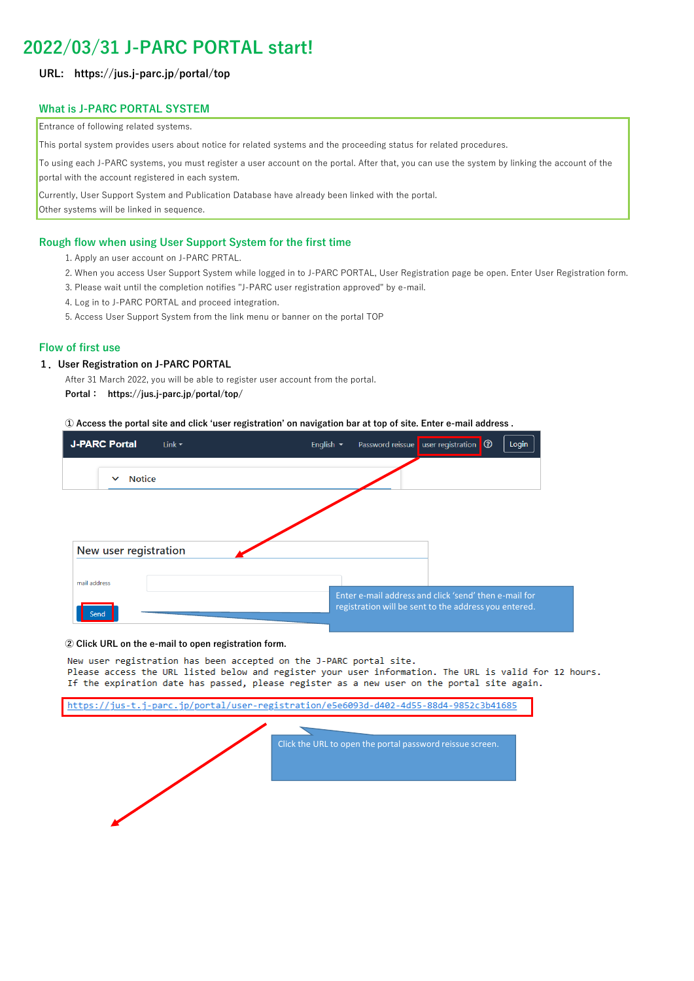# **2022/03/31 J-PARC PORTAL start!**

# **URL: https://jus.j-parc.jp/portal/top**

### **What is J-PARC PORTAL SYSTEM**

#### **Rough flow when using User Support System for the first time**

- 1. Apply an user account on J-PARC PRTAL.
- 2. When you access User Support System while logged in to J-PARC PORTAL, User Registration page be open. Enter User Registration form.
- 3. Please wait until the completion notifies "J-PARC user registration approved" by e-mail.
- 4. Log in to J-PARC PORTAL and proceed integration.
- 5. Access User Support System from the link menu or banner on the portal TOP

#### **Flow of first use**

#### **1.User Registration on J-PARC PORTAL**

After 31 March 2022, you will be able to register user account from the portal.

**Portal: https://jus.j-parc.jp/portal/top/**

**① Access the portal site and click 'user registration' on navigation bar at top of site. Enter e-mail address .**

**② Click URL on the e-mail to open registration form.**

New user registration has been accepted on the J-PARC portal site. Please access the URL listed below and register your user information. The URL is valid for 12 hours. If the expiration date has passed, please register as a new user on the portal site again.

https://jus-t.j-parc.jp/portal/user-registration/e5e6093d-d402-4d55-88d4-9852c3b41685

Entrance of following related systems.

This portal system provides users about notice for related systems and the proceeding status for related procedures.

To using each J-PARC systems, you must register a user account on the portal. After that, you can use the system by linking the account of the portal with the account registered in each system.

Currently, User Support System and Publication Database have already been linked with the portal.

Other systems will be linked in sequence.

Click the URL to open the portal password reissue screen.



| <b>J-PARC Portal</b><br>Link $\blacktriangledown$ | Password reissue user registration 3<br>Login<br>English $\blacktriangleright$ |
|---------------------------------------------------|--------------------------------------------------------------------------------|
| <b>Notice</b><br>$\checkmark$                     |                                                                                |
|                                                   |                                                                                |
|                                                   |                                                                                |
| New user registration                             |                                                                                |
| mail address                                      | Enter e-mail address and click 'send' then e-mail for                          |
| Send                                              | registration will be sent to the address you entered.                          |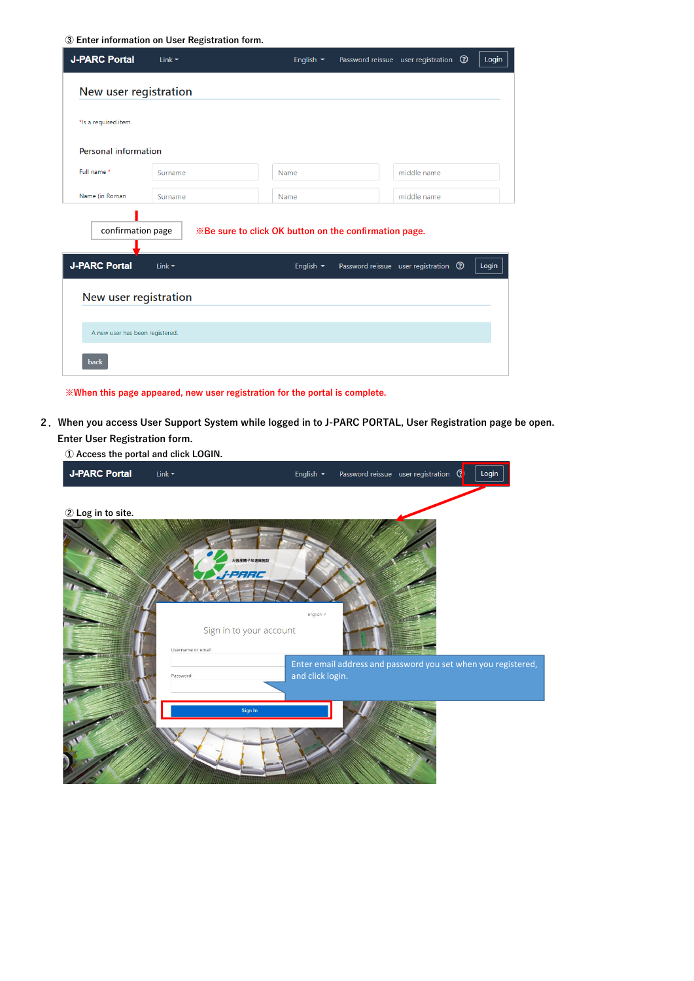**③ Enter information on User Registration form.**

**※When this page appeared, new user registration for the portal is complete.**

**2.When you access User Support System while logged in to J-PARC PORTAL, User Registration page be open. Enter User Registration form.**

| <b>J-PARC Portal</b>                      | Link $\blacktriangleright$ | English $\blacktriangleright$                                                                      | Password reissue user registration <sup>3</sup> | Login |
|-------------------------------------------|----------------------------|----------------------------------------------------------------------------------------------------|-------------------------------------------------|-------|
| New user registration                     |                            |                                                                                                    |                                                 |       |
| *Is a required item.                      |                            |                                                                                                    |                                                 |       |
| <b>Personal information</b>               |                            |                                                                                                    |                                                 |       |
| Full name *                               | Surname                    | <b>Name</b>                                                                                        | middle name                                     |       |
| Name (in Roman                            | Surname                    | Name                                                                                               | middle name                                     |       |
| confirmation page<br><b>J-PARC Portal</b> | Link $\blacktriangledown$  | <b>Ximes Be</b> sure to click OK button on the confirmation page.<br>English $\blacktriangleright$ | Password reissue user registration <sup>3</sup> | Login |
| New user registration                     |                            |                                                                                                    |                                                 |       |
| A new user has been registered.<br>back   |                            |                                                                                                    |                                                 |       |

**① Access the portal and click LOGIN.**



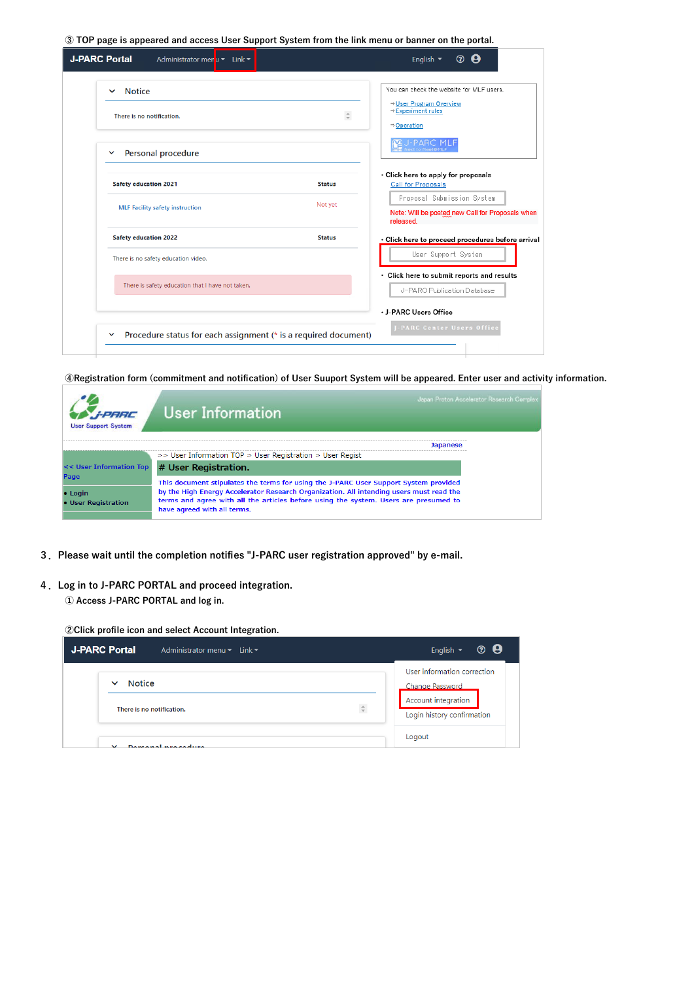**③ TOP page is appeared and access User Support System from the link menu or banner on the portal.**

| <b>Notice</b><br>$\checkmark$                    |               | You can check the website for MLF users.                      |
|--------------------------------------------------|---------------|---------------------------------------------------------------|
| There is no notification.                        | $\hat{\div}$  | ⇒User Program Overview<br>⇒Experiment rules                   |
|                                                  |               | ⇒Operation                                                    |
| Personal procedure<br>$\checkmark$               |               | lext to Meet® MLI                                             |
| <b>Safety education 2021</b>                     | <b>Status</b> | · Click here to apply for proposals<br>Call for Proposals     |
|                                                  | Not yet       | Proposal Submission System                                    |
| <b>MLF Facility safety instruction</b>           |               | Note: Will be posted new Call for Proposals when<br>released. |
| <b>Safety education 2022</b>                     | <b>Status</b> | · Click here to proceed procedures before arrival             |
| There is no safety education video.              |               | User Support System                                           |
| There is safety education that I have not taken. |               | · Click here to submit reports and results                    |
|                                                  |               | J-PARC Publication Database                                   |
|                                                  |               | · J-PARC Users Office                                         |

**④Registration form (commitment and notification) of User Suuport System will be appeared. Enter user and activity information.**

| FPARC<br><b>User Support System</b> | Japan Proton Accelerator Research Complex<br>User Information                                                                                                                                                  |  |
|-------------------------------------|----------------------------------------------------------------------------------------------------------------------------------------------------------------------------------------------------------------|--|
|                                     | Japanese                                                                                                                                                                                                       |  |
|                                     | $>>$ User Information TOP $>$ User Registration $>$ User Regist                                                                                                                                                |  |
| << User Information Top             | # User Registration.                                                                                                                                                                                           |  |
| Page                                | This document stipulates the terms for using the J-PARC User Support System provided                                                                                                                           |  |
| • Login<br>• User Registration      | by the High Energy Accelerator Research Organization. All intending users must read the<br>terms and agree with all the articles before using the system. Users are presumed to<br>have agreed with all terms. |  |

- **3.Please wait until the completion notifies "J-PARC user registration approved" by e-mail.**
- **4.Log in to J-PARC PORTAL and proceed integration.**

**① Access J-PARC PORTAL and log in.**

**②Click profile icon and select Account Integration.**

| <b>J-PARC Portal</b><br>Administrator menu $\blacktriangleright$ Link $\blacktriangleright$ | $\circledcirc$<br>English $\sim$<br>Ч |
|---------------------------------------------------------------------------------------------|---------------------------------------|
| Notice                                                                                      | User information correction           |
| $\checkmark$                                                                                | Change Password                       |
| $\hat{\div}$                                                                                | Account integration                   |
| There is no notification.                                                                   | Login history confirmation            |
| Dovennal procedure<br>$\checkmark$                                                          | Logout                                |